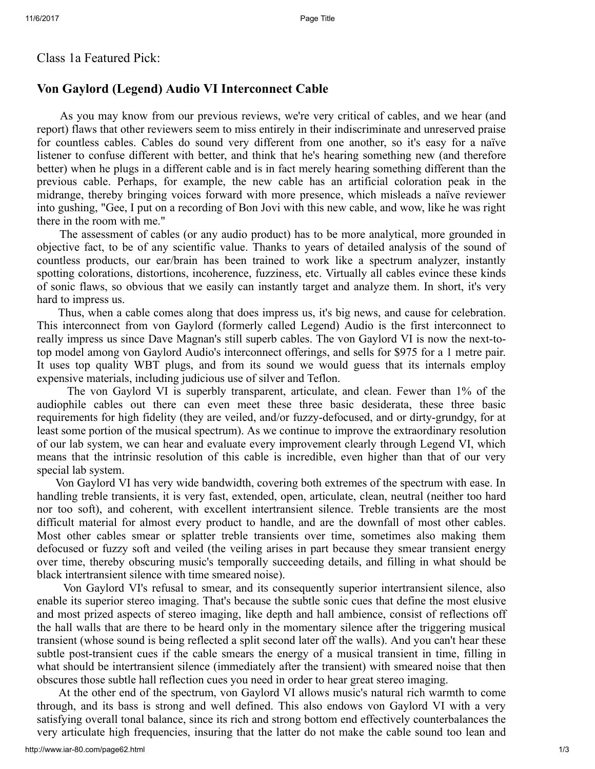## Class 1a Featured Pick:

## Von Gaylord (Legend) Audio VI Interconnect Cable

As you may know from our previous reviews, we're very critical of cables, and we hear (and report) flaws that other reviewers seem to miss entirely in their indiscriminate and unreserved praise for countless cables. Cables do sound very different from one another, so it's easy for a naïve listener to confuse different with better, and think that he's hearing something new (and therefore better) when he plugs in a different cable and is in fact merely hearing something different than the previous cable. Perhaps, for example, the new cable has an artificial coloration peak in the midrange, thereby bringing voices forward with more presence, which misleads a naïve reviewer into gushing, "Gee, I put on a recording of Bon Jovi with this new cable, and wow, like he was right there in the room with me."

The assessment of cables (or any audio product) has to be more analytical, more grounded in objective fact, to be of any scientific value. Thanks to years of detailed analysis of the sound of countless products, our ear/brain has been trained to work like a spectrum analyzer, instantly spotting colorations, distortions, incoherence, fuzziness, etc. Virtually all cables evince these kinds of sonic flaws, so obvious that we easily can instantly target and analyze them. In short, it's very hard to impress us.

Thus, when a cable comes along that does impress us, it's big news, and cause for celebration. This interconnect from von Gaylord (formerly called Legend) Audio is the first interconnect to really impress us since Dave Magnan's still superb cables. The von Gaylord VI is now the next-totop model among von Gaylord Audio's interconnect offerings, and sells for \$975 for a 1 metre pair. It uses top quality WBT plugs, and from its sound we would guess that its internals employ expensive materials, including judicious use of silver and Teflon.

The von Gaylord VI is superbly transparent, articulate, and clean. Fewer than 1% of the audiophile cables out there can even meet these three basic desiderata, these three basic requirements for high fidelity (they are veiled, and/or fuzzy-defocused, and or dirty-grundgy, for at least some portion of the musical spectrum). As we continue to improve the extraordinary resolution of our lab system, we can hear and evaluate every improvement clearly through Legend VI, which means that the intrinsic resolution of this cable is incredible, even higher than that of our very special lab system.

Von Gaylord VI has very wide bandwidth, covering both extremes of the spectrum with ease. In handling treble transients, it is very fast, extended, open, articulate, clean, neutral (neither too hard nor too soft), and coherent, with excellent intertransient silence. Treble transients are the most difficult material for almost every product to handle, and are the downfall of most other cables. Most other cables smear or splatter treble transients over time, sometimes also making them defocused or fuzzy soft and veiled (the veiling arises in part because they smear transient energy over time, thereby obscuring music's temporally succeeding details, and filling in what should be black intertransient silence with time smeared noise).

Von Gaylord VI's refusal to smear, and its consequently superior intertransient silence, also enable its superior stereo imaging. That's because the subtle sonic cues that define the most elusive and most prized aspects of stereo imaging, like depth and hall ambience, consist of reflections off the hall walls that are there to be heard only in the momentary silence after the triggering musical transient (whose sound is being reflected a split second later off the walls). And you can't hear these subtle post-transient cues if the cable smears the energy of a musical transient in time, filling in what should be intertransient silence (immediately after the transient) with smeared noise that then obscures those subtle hall reflection cues you need in order to hear great stereo imaging.

At the other end of the spectrum, von Gaylord VI allows music's natural rich warmth to come through, and its bass is strong and well defined. This also endows von Gaylord VI with a very satisfying overall tonal balance, since its rich and strong bottom end effectively counterbalances the very articulate high frequencies, insuring that the latter do not make the cable sound too lean and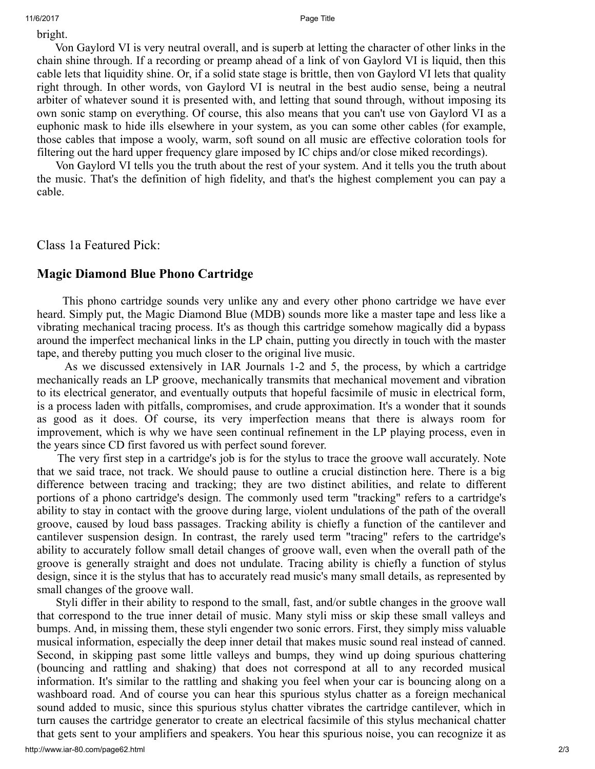bright.

Von Gaylord VI is very neutral overall, and is superb at letting the character of other links in the chain shine through. If a recording or preamp ahead of a link of von Gaylord VI is liquid, then this cable lets that liquidity shine. Or, if a solid state stage is brittle, then von Gaylord VI lets that quality right through. In other words, von Gaylord VI is neutral in the best audio sense, being a neutral arbiter of whatever sound it is presented with, and letting that sound through, without imposing its own sonic stamp on everything. Of course, this also means that you can't use von Gaylord VI as a euphonic mask to hide ills elsewhere in your system, as you can some other cables (for example, those cables that impose a wooly, warm, soft sound on all music are effective coloration tools for filtering out the hard upper frequency glare imposed by IC chips and/or close miked recordings).

Von Gaylord VI tells you the truth about the rest of your system. And it tells you the truth about the music. That's the definition of high fidelity, and that's the highest complement you can pay a cable.

Class 1a Featured Pick:

## Magic Diamond Blue Phono Cartridge

This phono cartridge sounds very unlike any and every other phono cartridge we have ever heard. Simply put, the Magic Diamond Blue (MDB) sounds more like a master tape and less like a vibrating mechanical tracing process. It's as though this cartridge somehow magically did a bypass around the imperfect mechanical links in the LP chain, putting you directly in touch with the master tape, and thereby putting you much closer to the original live music.

As we discussed extensively in IAR Journals 1-2 and 5, the process, by which a cartridge mechanically reads an LP groove, mechanically transmits that mechanical movement and vibration to its electrical generator, and eventually outputs that hopeful facsimile of music in electrical form, is a process laden with pitfalls, compromises, and crude approximation. It's a wonder that it sounds as good as it does. Of course, its very imperfection means that there is always room for improvement, which is why we have seen continual refinement in the LP playing process, even in the years since CD first favored us with perfect sound forever.

The very first step in a cartridge's job is for the stylus to trace the groove wall accurately. Note that we said trace, not track. We should pause to outline a crucial distinction here. There is a big difference between tracing and tracking; they are two distinct abilities, and relate to different portions of a phono cartridge's design. The commonly used term "tracking" refers to a cartridge's ability to stay in contact with the groove during large, violent undulations of the path of the overall groove, caused by loud bass passages. Tracking ability is chiefly a function of the cantilever and cantilever suspension design. In contrast, the rarely used term "tracing" refers to the cartridge's ability to accurately follow small detail changes of groove wall, even when the overall path of the groove is generally straight and does not undulate. Tracing ability is chiefly a function of stylus design, since it is the stylus that has to accurately read music's many small details, as represented by small changes of the groove wall.

Styli differ in their ability to respond to the small, fast, and/or subtle changes in the groove wall that correspond to the true inner detail of music. Many styli miss or skip these small valleys and bumps. And, in missing them, these styli engender two sonic errors. First, they simply miss valuable musical information, especially the deep inner detail that makes music sound real instead of canned. Second, in skipping past some little valleys and bumps, they wind up doing spurious chattering (bouncing and rattling and shaking) that does not correspond at all to any recorded musical information. It's similar to the rattling and shaking you feel when your car is bouncing along on a washboard road. And of course you can hear this spurious stylus chatter as a foreign mechanical sound added to music, since this spurious stylus chatter vibrates the cartridge cantilever, which in turn causes the cartridge generator to create an electrical facsimile of this stylus mechanical chatter that gets sent to your amplifiers and speakers. You hear this spurious noise, you can recognize it as